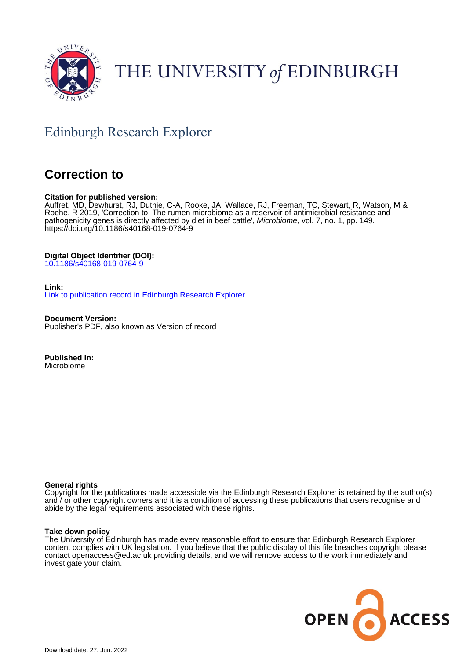

# THE UNIVERSITY of EDINBURGH

# Edinburgh Research Explorer

# **Correction to**

# **Citation for published version:**

Auffret, MD, Dewhurst, RJ, Duthie, C-A, Rooke, JA, Wallace, RJ, Freeman, TC, Stewart, R, Watson, M & Roehe, R 2019, 'Correction to: The rumen microbiome as a reservoir of antimicrobial resistance and pathogenicity genes is directly affected by diet in beef cattle', Microbiome, vol. 7, no. 1, pp. 149. <https://doi.org/10.1186/s40168-019-0764-9>

# **Digital Object Identifier (DOI):**

[10.1186/s40168-019-0764-9](https://doi.org/10.1186/s40168-019-0764-9)

# **Link:**

[Link to publication record in Edinburgh Research Explorer](https://www.research.ed.ac.uk/en/publications/8ae650c1-5242-403b-9561-cf079b597137)

**Document Version:** Publisher's PDF, also known as Version of record

**Published In:** Microbiome

# **General rights**

Copyright for the publications made accessible via the Edinburgh Research Explorer is retained by the author(s) and / or other copyright owners and it is a condition of accessing these publications that users recognise and abide by the legal requirements associated with these rights.

# **Take down policy**

The University of Edinburgh has made every reasonable effort to ensure that Edinburgh Research Explorer content complies with UK legislation. If you believe that the public display of this file breaches copyright please contact openaccess@ed.ac.uk providing details, and we will remove access to the work immediately and investigate your claim.